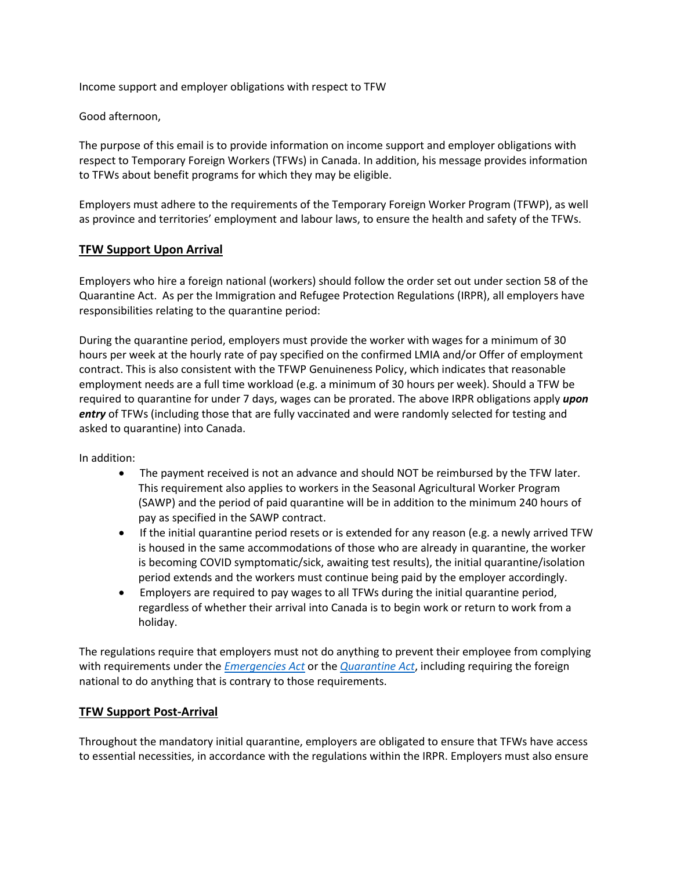Income support and employer obligations with respect to TFW

Good afternoon,

The purpose of this email is to provide information on income support and employer obligations with respect to Temporary Foreign Workers (TFWs) in Canada. In addition, his message provides information to TFWs about benefit programs for which they may be eligible.

Employers must adhere to the requirements of the Temporary Foreign Worker Program (TFWP), as well as province and territories' employment and labour laws, to ensure the health and safety of the TFWs.

# **TFW Support Upon Arrival**

Employers who hire a foreign national (workers) should follow the order set out under section 58 of the Quarantine Act. As per the Immigration and Refugee Protection Regulations (IRPR), all employers have responsibilities relating to the quarantine period:

During the quarantine period, employers must provide the worker with wages for a minimum of 30 hours per week at the hourly rate of pay specified on the confirmed LMIA and/or Offer of employment contract. This is also consistent with the TFWP Genuineness Policy, which indicates that reasonable employment needs are a full time workload (e.g. a minimum of 30 hours per week). Should a TFW be required to quarantine for under 7 days, wages can be prorated. The above IRPR obligations apply *upon entry* of TFWs (including those that are fully vaccinated and were randomly selected for testing and asked to quarantine) into Canada.

In addition:

- The payment received is not an advance and should NOT be reimbursed by the TFW later. This requirement also applies to workers in the Seasonal Agricultural Worker Program (SAWP) and the period of paid quarantine will be in addition to the minimum 240 hours of pay as specified in the SAWP contract.
- If the initial quarantine period resets or is extended for any reason (e.g. a newly arrived TFW is housed in the same accommodations of those who are already in quarantine, the worker is becoming COVID symptomatic/sick, awaiting test results), the initial quarantine/isolation period extends and the workers must continue being paid by the employer accordingly.
- Employers are required to pay wages to all TFWs during the initial quarantine period, regardless of whether their arrival into Canada is to begin work or return to work from a holiday.

The regulations require that employers must not do anything to prevent their employee from complying with requirements under the *[Emergencies Act](https://can01.safelinks.protection.outlook.com/?url=https%3A%2F%2Flaws-lois.justice.gc.ca%2Feng%2Facts%2Fe-4.5%2Findex.html&data=04%7C01%7CDIvany%40kairoscanada.org%7Cc6ceed31235d469de32908d9e2b03673%7Ccf18b5a826784011931215f0f7157574%7C0%7C0%7C637790068717197273%7CUnknown%7CTWFpbGZsb3d8eyJWIjoiMC4wLjAwMDAiLCJQIjoiV2luMzIiLCJBTiI6Ik1haWwiLCJXVCI6Mn0%3D%7C3000&sdata=nozvRRl6ecPkKlp6dNy3Tmr6LJKR30nzGkt%2B3ldcs0o%3D&reserved=0)* or the *[Quarantine Act](https://can01.safelinks.protection.outlook.com/?url=https%3A%2F%2Flaws-lois.justice.gc.ca%2Feng%2Facts%2Fq-1.1%2Fpage-1.html&data=04%7C01%7CDIvany%40kairoscanada.org%7Cc6ceed31235d469de32908d9e2b03673%7Ccf18b5a826784011931215f0f7157574%7C0%7C0%7C637790068717197273%7CUnknown%7CTWFpbGZsb3d8eyJWIjoiMC4wLjAwMDAiLCJQIjoiV2luMzIiLCJBTiI6Ik1haWwiLCJXVCI6Mn0%3D%7C3000&sdata=Z3J17SzPE2JgsCOqF4kE%2BPUIRyDn44lpxKyxthL1o6o%3D&reserved=0)*, including requiring the foreign national to do anything that is contrary to those requirements.

# **TFW Support Post-Arrival**

Throughout the mandatory initial quarantine, employers are obligated to ensure that TFWs have access to essential necessities, in accordance with the regulations within the IRPR. Employers must also ensure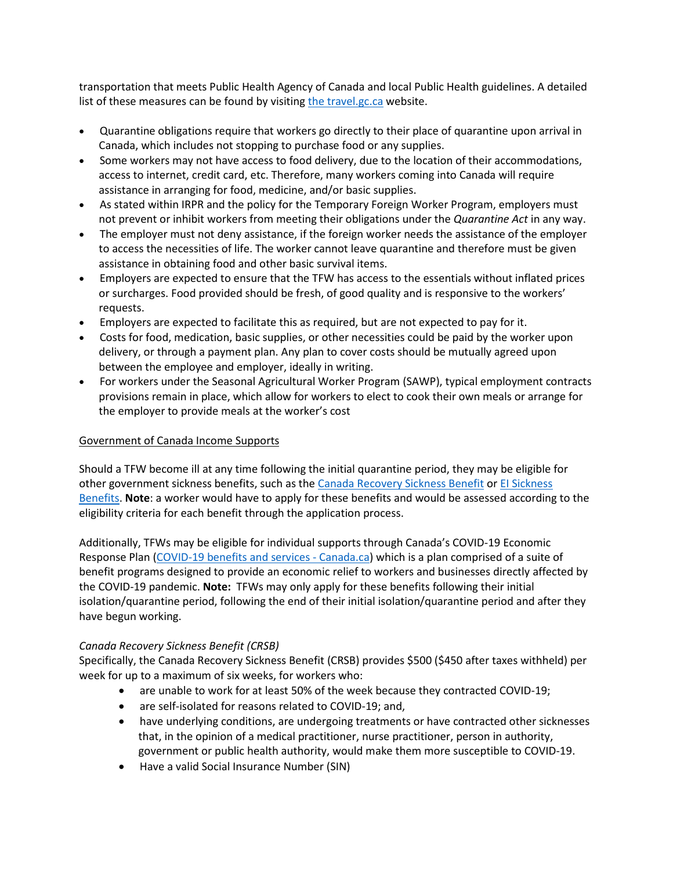transportation that meets Public Health Agency of Canada and local Public Health guidelines. A detailed list of [the](https://can01.safelinks.protection.outlook.com/?url=https%3A%2F%2Ftravel.gc.ca%2Ftravel-covid%2Ftravel-restrictions%2Fisolation%23quarantine&data=04%7C01%7CDIvany%40kairoscanada.org%7Cc6ceed31235d469de32908d9e2b03673%7Ccf18b5a826784011931215f0f7157574%7C0%7C0%7C637790068717197273%7CUnknown%7CTWFpbGZsb3d8eyJWIjoiMC4wLjAwMDAiLCJQIjoiV2luMzIiLCJBTiI6Ik1haWwiLCJXVCI6Mn0%3D%7C3000&sdata=MfDeWRG2N5tDoFDg4aIdXIFSYJp2lZrDtA8N%2F7MWFEk%3D&reserved=0)se measures can be found by visiting the [travel.gc.ca](https://can01.safelinks.protection.outlook.com/?url=https%3A%2F%2Ftravel.gc.ca%2Ftravel-covid%2Ftravel-restrictions%2Fisolation%23quarantine&data=04%7C01%7CDIvany%40kairoscanada.org%7Cc6ceed31235d469de32908d9e2b03673%7Ccf18b5a826784011931215f0f7157574%7C0%7C0%7C637790068717197273%7CUnknown%7CTWFpbGZsb3d8eyJWIjoiMC4wLjAwMDAiLCJQIjoiV2luMzIiLCJBTiI6Ik1haWwiLCJXVCI6Mn0%3D%7C3000&sdata=MfDeWRG2N5tDoFDg4aIdXIFSYJp2lZrDtA8N%2F7MWFEk%3D&reserved=0) website.

- Quarantine obligations require that workers go directly to their place of quarantine upon arrival in Canada, which includes not stopping to purchase food or any supplies.
- Some workers may not have access to food delivery, due to the location of their accommodations, access to internet, credit card, etc. Therefore, many workers coming into Canada will require assistance in arranging for food, medicine, and/or basic supplies.
- As stated within IRPR and the policy for the Temporary Foreign Worker Program, employers must not prevent or inhibit workers from meeting their obligations under the *Quarantine Act* in any way.
- The employer must not deny assistance, if the foreign worker needs the assistance of the employer to access the necessities of life. The worker cannot leave quarantine and therefore must be given assistance in obtaining food and other basic survival items.
- Employers are expected to ensure that the TFW has access to the essentials without inflated prices or surcharges. Food provided should be fresh, of good quality and is responsive to the workers' requests.
- Employers are expected to facilitate this as required, but are not expected to pay for it.
- Costs for food, medication, basic supplies, or other necessities could be paid by the worker upon delivery, or through a payment plan. Any plan to cover costs should be mutually agreed upon between the employee and employer, ideally in writing.
- For workers under the Seasonal Agricultural Worker Program (SAWP), typical employment contracts provisions remain in place, which allow for workers to elect to cook their own meals or arrange for the employer to provide meals at the worker's cost

## Government of Canada Income Supports

Should a TFW become ill at any time following the initial quarantine period, they may be eligible for other government sickness benefits, such as the [Canada Recovery Sickness Benefit](https://can01.safelinks.protection.outlook.com/?url=https%3A%2F%2Fwww.canada.ca%2Fen%2Frevenue-agency%2Fservices%2Fbenefits%2Frecovery-sickness-benefit.html&data=04%7C01%7CDIvany%40kairoscanada.org%7Cc6ceed31235d469de32908d9e2b03673%7Ccf18b5a826784011931215f0f7157574%7C0%7C0%7C637790068717197273%7CUnknown%7CTWFpbGZsb3d8eyJWIjoiMC4wLjAwMDAiLCJQIjoiV2luMzIiLCJBTiI6Ik1haWwiLCJXVCI6Mn0%3D%7C3000&sdata=IyQCTmgTnmMabH2zLs4yANdAmSOnoACQeJDVsmsTINY%3D&reserved=0) or [EI Sickness](https://can01.safelinks.protection.outlook.com/?url=https%3A%2F%2Fwww.canada.ca%2Fen%2Fservices%2Fbenefits%2Fei%2Fei-sickness.html&data=04%7C01%7CDIvany%40kairoscanada.org%7Cc6ceed31235d469de32908d9e2b03673%7Ccf18b5a826784011931215f0f7157574%7C0%7C0%7C637790068717197273%7CUnknown%7CTWFpbGZsb3d8eyJWIjoiMC4wLjAwMDAiLCJQIjoiV2luMzIiLCJBTiI6Ik1haWwiLCJXVCI6Mn0%3D%7C3000&sdata=fXs3iVZGZjzbBFdHsn5YgaXM2qJltiJBQRw%2B64umB80%3D&reserved=0)  [Benefits.](https://can01.safelinks.protection.outlook.com/?url=https%3A%2F%2Fwww.canada.ca%2Fen%2Fservices%2Fbenefits%2Fei%2Fei-sickness.html&data=04%7C01%7CDIvany%40kairoscanada.org%7Cc6ceed31235d469de32908d9e2b03673%7Ccf18b5a826784011931215f0f7157574%7C0%7C0%7C637790068717197273%7CUnknown%7CTWFpbGZsb3d8eyJWIjoiMC4wLjAwMDAiLCJQIjoiV2luMzIiLCJBTiI6Ik1haWwiLCJXVCI6Mn0%3D%7C3000&sdata=fXs3iVZGZjzbBFdHsn5YgaXM2qJltiJBQRw%2B64umB80%3D&reserved=0) **Note**: a worker would have to apply for these benefits and would be assessed according to the eligibility criteria for each benefit through the application process.

Additionally, TFWs may be eligible for individual supports through Canada's COVID-19 Economic Response Plan [\(COVID-19 benefits and services -](https://can01.safelinks.protection.outlook.com/?url=https%3A%2F%2Fwww.canada.ca%2Fen%2Fservices%2Fbenefits%2Fcovid19-emergency-benefits.html&data=04%7C01%7CDIvany%40kairoscanada.org%7Cc6ceed31235d469de32908d9e2b03673%7Ccf18b5a826784011931215f0f7157574%7C0%7C0%7C637790068717197273%7CUnknown%7CTWFpbGZsb3d8eyJWIjoiMC4wLjAwMDAiLCJQIjoiV2luMzIiLCJBTiI6Ik1haWwiLCJXVCI6Mn0%3D%7C3000&sdata=qx8JQTw1pyDEZth7ea0dbJqMt2py6VHuOXQCG5uY5lo%3D&reserved=0) Canada.ca) which is a plan comprised of a suite of benefit programs designed to provide an economic relief to workers and businesses directly affected by the COVID-19 pandemic. **Note:** TFWs may only apply for these benefits following their initial isolation/quarantine period, following the end of their initial isolation/quarantine period and after they have begun working.

### *Canada Recovery Sickness Benefit (CRSB)*

Specifically, the Canada Recovery Sickness Benefit (CRSB) provides \$500 (\$450 after taxes withheld) per week for up to a maximum of six weeks, for workers who:

- are unable to work for at least 50% of the week because they contracted COVID-19;
- are self-isolated for reasons related to COVID-19; and,
- have underlying conditions, are undergoing treatments or have contracted other sicknesses that, in the opinion of a medical practitioner, nurse practitioner, person in authority, government or public health authority, would make them more susceptible to COVID-19.
- Have a valid Social Insurance Number (SIN)